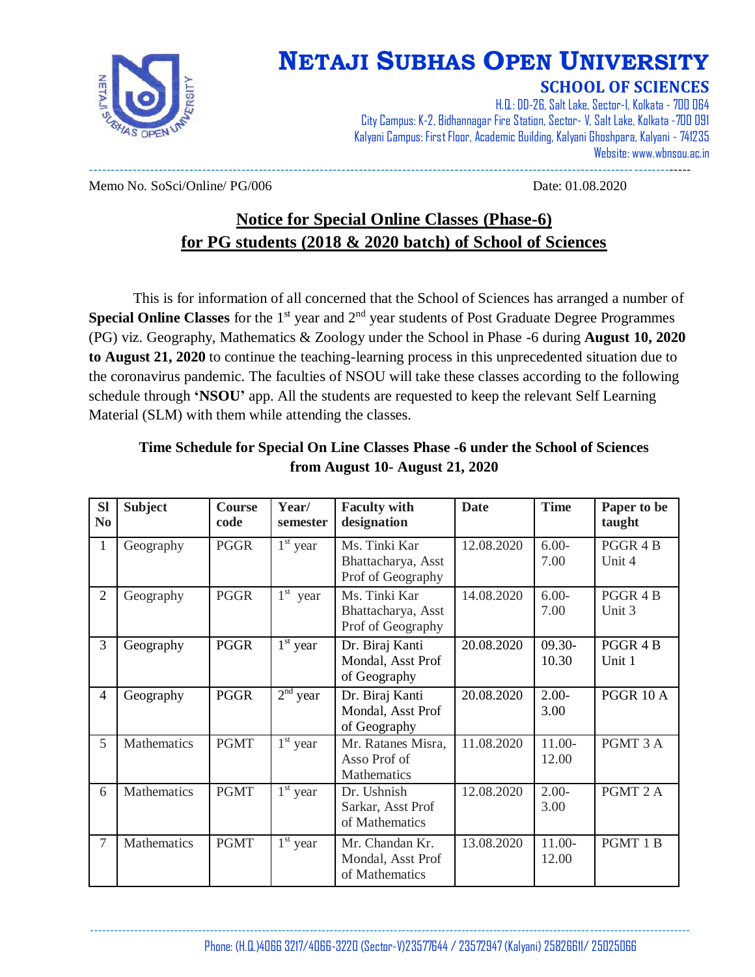

## **NETAJI SUBHAS OPEN UNIVERSITY**

#### **SCHOOL OF SCIENCES**

H.Q.: DD-26, Salt Lake, Sector-I, Kolkata - 700 064 City Campus: K-2, Bidhannagar Fire Station, Sector- V, Salt Lake, Kolkata -700 091 Kalyani Campus: First Floor, Academic Building, Kalyani Ghoshpara, Kalyani - 741235 Website: www.wbnsou.ac.in ------------------------------------------------------------------------------------------------------------------------------------------

Memo No. SoSci/Online/ PG/006 Date: 01.08.2020

### **Notice for Special Online Classes (Phase-6) for PG students (2018 & 2020 batch) of School of Sciences**

This is for information of all concerned that the School of Sciences has arranged a number of **Special Online Classes** for the 1<sup>st</sup> year and 2<sup>nd</sup> year students of Post Graduate Degree Programmes (PG) viz. Geography, Mathematics & Zoology under the School in Phase -6 during **August 10, 2020 to August 21, 2020** to continue the teaching-learning process in this unprecedented situation due to the coronavirus pandemic. The faculties of NSOU will take these classes according to the following schedule through **'NSOU'** app. All the students are requested to keep the relevant Self Learning Material (SLM) with them while attending the classes.

| <b>SI</b><br>N <sub>0</sub> | <b>Subject</b> | <b>Course</b><br>code | Year/<br>semester                 | <b>Faculty with</b><br>designation                       | <b>Date</b> | <b>Time</b>        | Paper to be<br>taught |
|-----------------------------|----------------|-----------------------|-----------------------------------|----------------------------------------------------------|-------------|--------------------|-----------------------|
| $\mathbf{1}$                | Geography      | <b>PGGR</b>           | $1st$ year                        | Ms. Tinki Kar<br>Bhattacharya, Asst<br>Prof of Geography | 12.08.2020  | $6.00-$<br>7.00    | PGGR 4 B<br>Unit 4    |
| $\overline{2}$              | Geography      | <b>PGGR</b>           | $1st$ year                        | Ms. Tinki Kar<br>Bhattacharya, Asst<br>Prof of Geography | 14.08.2020  | $6.00-$<br>7.00    | PGGR 4 B<br>Unit 3    |
| $\overline{3}$              | Geography      | <b>PGGR</b>           | $\overline{1}$ <sup>st</sup> year | Dr. Biraj Kanti<br>Mondal, Asst Prof<br>of Geography     | 20.08.2020  | $09.30 -$<br>10.30 | PGGR 4 B<br>Unit 1    |
| $\overline{4}$              | Geography      | <b>PGGR</b>           | $2nd$ year                        | Dr. Biraj Kanti<br>Mondal, Asst Prof<br>of Geography     | 20.08.2020  | $2.00 -$<br>3.00   | <b>PGGR 10 A</b>      |
| 5                           | Mathematics    | <b>PGMT</b>           | $1st$ year                        | Mr. Ratanes Misra,<br>Asso Prof of<br>Mathematics        | 11.08.2020  | $11.00-$<br>12.00  | PGMT 3 A              |
| 6                           | Mathematics    | <b>PGMT</b>           | $1st$ year                        | Dr. Ushnish<br>Sarkar, Asst Prof<br>of Mathematics       | 12.08.2020  | $2.00-$<br>3.00    | PGMT 2 A              |
| $\overline{7}$              | Mathematics    | <b>PGMT</b>           | $1st$ year                        | Mr. Chandan Kr.<br>Mondal, Asst Prof<br>of Mathematics   | 13.08.2020  | $11.00-$<br>12.00  | PGMT 1B               |

#### **Time Schedule for Special On Line Classes Phase -6 under the School of Sciences from August 10- August 21, 2020**